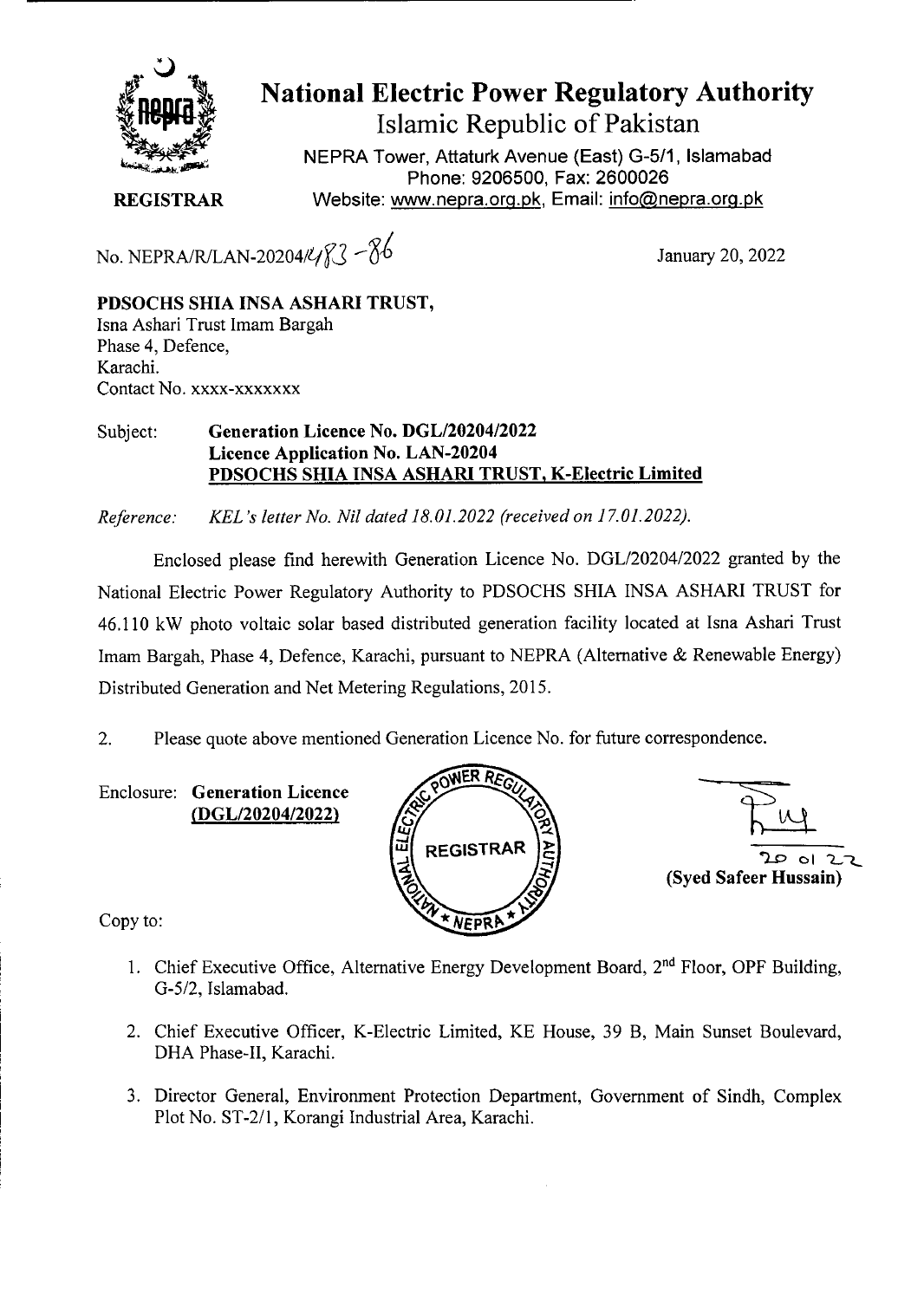

## **National Electric Power Regulatory Authority Islamic Republic of Pakistan**

**NEPRA Tower, Attaturk Avenue (East) G-5/1, Islamabad Phone: 9206500, Fax: 2600026 REGISTRAR** Website: www.nepra.org.pk, Email: info@nepra.org.pk

No. NEPRA/R/LAN-20204/ $\frac{20204}{\sqrt{3}}$  -  $\frac{8}{6}$  January 20, 2022

**PDSOCHS SHIA INSA ASHARI TRUST,**  Isna Ashari Trust Imam Bargah Phase 4, Defence, Karachi. Contact No. xxxx-xxxxxxx

## Subject: **Generation Licence** No. *DGL12020412022*  **Licence Application No. LAN-20204 PDSOCHS SHIA INSA ASHARI TRUST, K-Electric Limited**

*Reference: KEL 's letter No. Nil dated 18.01.2022 (received on 17.01.2022).* 

Enclosed please find herewith Generation Licence No. DGL/20204/2022 granted by the National Electric Power Regulatory Authority to PDSOCHS SHIA INSA ASHARI TRUST for 46.110 kW photo voltaic solar based distributed generation facility located at Isna Ashari Trust Imam Bargah, Phase 4, Defence, Karachi, pursuant to NEPRA (Alternative & Renewable Energy) Distributed Generation and Net Metering Regulations, 2015.

2. Please quote above mentioned Generation Licence No. for future correspondence.

Enclosure: **Generation Licence (DGL/20204/2022)** 





Copy to:

- 1. Chief Executive Office, Alternative Energy Development Board, 2<sup>nd</sup> Floor, OPF Building, *G-5/2,* Islamabad.
- 2. Chief Executive Officer, K-Electric Limited, KE House, 39 B, Main Sunset Boulevard, DHA Phase-Il, Karachi.
- 3. Director General, Environment Protection Department, Government of Sindh, Complex Plot No. ST-2/l, Korangi Industrial Area, Karachi.